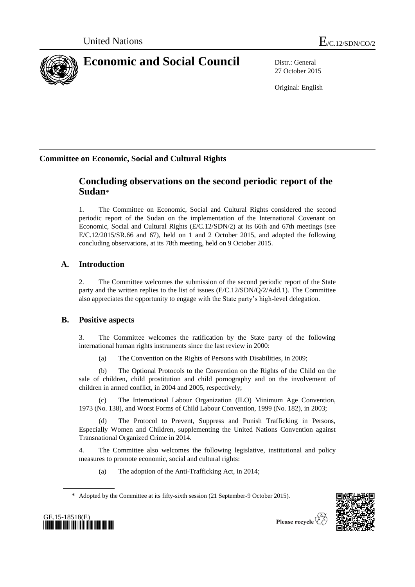

27 October 2015

Original: English

# **Committee on Economic, Social and Cultural Rights**

# **Concluding observations on the second periodic report of the Sudan**\*

1. The Committee on Economic, Social and Cultural Rights considered the second periodic report of the Sudan on the implementation of the International Covenant on Economic, Social and Cultural Rights (E/C.12/SDN/2) at its 66th and 67th meetings (see E/C.12/2015/SR.66 and 67), held on 1 and 2 October 2015, and adopted the following concluding observations, at its 78th meeting, held on 9 October 2015.

# **A. Introduction**

2. The Committee welcomes the submission of the second periodic report of the State party and the written replies to the list of issues (E/C.12/SDN/Q/2/Add.1). The Committee also appreciates the opportunity to engage with the State party's high-level delegation.

# **B. Positive aspects**

3. The Committee welcomes the ratification by the State party of the following international human rights instruments since the last review in 2000:

(a) The Convention on the Rights of Persons with Disabilities, in 2009;

(b) The Optional Protocols to the Convention on the Rights of the Child on the sale of children, child prostitution and child pornography and on the involvement of children in armed conflict, in 2004 and 2005, respectively;

(c) The International Labour Organization (ILO) Minimum Age Convention, 1973 (No. 138), and Worst Forms of Child Labour Convention, 1999 (No. 182), in 2003;

The Protocol to Prevent, Suppress and Punish Trafficking in Persons, Especially Women and Children, supplementing the United Nations Convention against Transnational Organized Crime in 2014.

4. The Committee also welcomes the following legislative, institutional and policy measures to promote economic, social and cultural rights:

(a) The adoption of the Anti-Trafficking Act, in 2014;

\* Adopted by the Committee at its fifty-sixth session (21 September-9 October 2015).



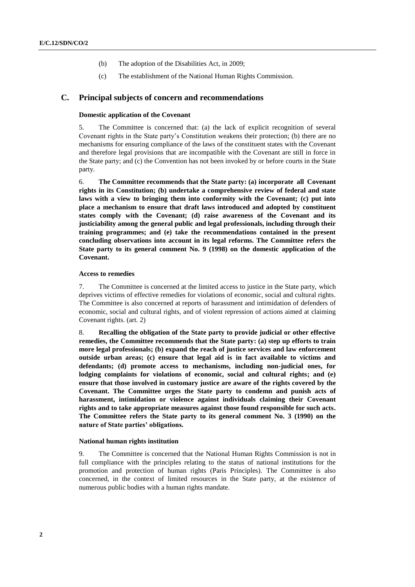- (b) The adoption of the Disabilities Act, in 2009;
- (c) The establishment of the National Human Rights Commission.

# **C. Principal subjects of concern and recommendations**

# **Domestic application of the Covenant**

5. The Committee is concerned that: (a) the lack of explicit recognition of several Covenant rights in the State party's Constitution weakens their protection; (b) there are no mechanisms for ensuring compliance of the laws of the constituent states with the Covenant and therefore legal provisions that are incompatible with the Covenant are still in force in the State party; and (c) the Convention has not been invoked by or before courts in the State party.

6. **The Committee recommends that the State party: (a) incorporate all Covenant rights in its Constitution; (b) undertake a comprehensive review of federal and state laws with a view to bringing them into conformity with the Covenant; (c) put into place a mechanism to ensure that draft laws introduced and adopted by constituent states comply with the Covenant; (d) raise awareness of the Covenant and its justiciability among the general public and legal professionals, including through their training programmes; and (e) take the recommendations contained in the present concluding observations into account in its legal reforms. The Committee refers the State party to its general comment No. 9 (1998) on the domestic application of the Covenant.**

## **Access to remedies**

7. The Committee is concerned at the limited access to justice in the State party, which deprives victims of effective remedies for violations of economic, social and cultural rights. The Committee is also concerned at reports of harassment and intimidation of defenders of economic, social and cultural rights, and of violent repression of actions aimed at claiming Covenant rights. (art. 2)

8. **Recalling the obligation of the State party to provide judicial or other effective remedies, the Committee recommends that the State party: (a) step up efforts to train more legal professionals; (b) expand the reach of justice services and law enforcement outside urban areas; (c) ensure that legal aid is in fact available to victims and defendants; (d) promote access to mechanisms, including non-judicial ones, for lodging complaints for violations of economic, social and cultural rights; and (e) ensure that those involved in customary justice are aware of the rights covered by the Covenant. The Committee urges the State party to condemn and punish acts of harassment, intimidation or violence against individuals claiming their Covenant rights and to take appropriate measures against those found responsible for such acts. The Committee refers the State party to its general comment No. 3 (1990) on the nature of State parties' obligations.**

## **National human rights institution**

9. The Committee is concerned that the National Human Rights Commission is not in full compliance with the principles relating to the status of national institutions for the promotion and protection of human rights (Paris Principles). The Committee is also concerned, in the context of limited resources in the State party, at the existence of numerous public bodies with a human rights mandate.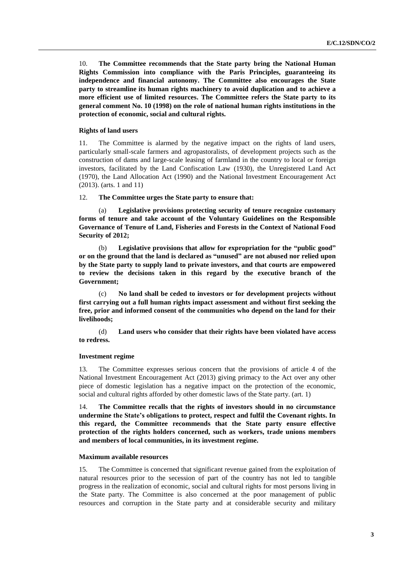10. **The Committee recommends that the State party bring the National Human Rights Commission into compliance with the Paris Principles, guaranteeing its independence and financial autonomy. The Committee also encourages the State party to streamline its human rights machinery to avoid duplication and to achieve a more efficient use of limited resources. The Committee refers the State party to its general comment No. 10 (1998) on the role of national human rights institutions in the protection of economic, social and cultural rights.**

# **Rights of land users**

11. The Committee is alarmed by the negative impact on the rights of land users, particularly small-scale farmers and agropastoralists, of development projects such as the construction of dams and large-scale leasing of farmland in the country to local or foreign investors, facilitated by the Land Confiscation Law (1930), the Unregistered Land Act (1970), the Land Allocation Act (1990) and the National Investment Encouragement Act (2013). (arts. 1 and 11)

# 12. **The Committee urges the State party to ensure that:**

(a) **Legislative provisions protecting security of tenure recognize customary forms of tenure and take account of the Voluntary Guidelines on the Responsible Governance of Tenure of Land, Fisheries and Forests in the Context of National Food Security of 2012;**

(b) **Legislative provisions that allow for expropriation for the "public good" or on the ground that the land is declared as "unused" are not abused nor relied upon by the State party to supply land to private investors, and that courts are empowered to review the decisions taken in this regard by the executive branch of the Government;**

(c) **No land shall be ceded to investors or for development projects without first carrying out a full human rights impact assessment and without first seeking the free, prior and informed consent of the communities who depend on the land for their livelihoods;**

(d) **Land users who consider that their rights have been violated have access to redress.**

# **Investment regime**

13. The Committee expresses serious concern that the provisions of article 4 of the National Investment Encouragement Act (2013) giving primacy to the Act over any other piece of domestic legislation has a negative impact on the protection of the economic, social and cultural rights afforded by other domestic laws of the State party. (art. 1)

14. **The Committee recalls that the rights of investors should in no circumstance undermine the State's obligations to protect, respect and fulfil the Covenant rights. In this regard, the Committee recommends that the State party ensure effective protection of the rights holders concerned, such as workers, trade unions members and members of local communities, in its investment regime.**

#### **Maximum available resources**

15. The Committee is concerned that significant revenue gained from the exploitation of natural resources prior to the secession of part of the country has not led to tangible progress in the realization of economic, social and cultural rights for most persons living in the State party. The Committee is also concerned at the poor management of public resources and corruption in the State party and at considerable security and military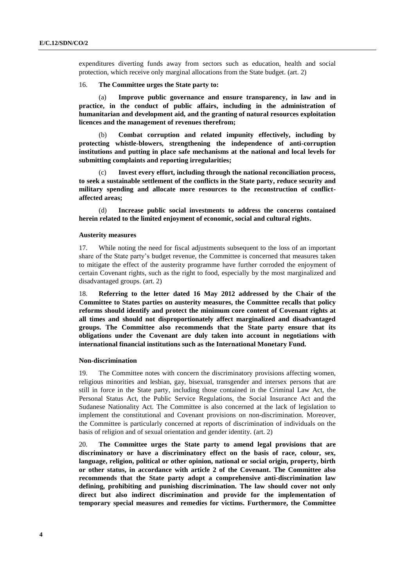expenditures diverting funds away from sectors such as education, health and social protection, which receive only marginal allocations from the State budget. (art. 2)

# 16. **The Committee urges the State party to:**

(a) **Improve public governance and ensure transparency, in law and in practice, in the conduct of public affairs, including in the administration of humanitarian and development aid, and the granting of natural resources exploitation licences and the management of revenues therefrom;**

(b) **Combat corruption and related impunity effectively, including by protecting whistle-blowers, strengthening the independence of anti-corruption institutions and putting in place safe mechanisms at the national and local levels for submitting complaints and reporting irregularities;**

(c) **Invest every effort, including through the national reconciliation process, to seek a sustainable settlement of the conflicts in the State party, reduce security and military spending and allocate more resources to the reconstruction of conflictaffected areas;**

(d) **Increase public social investments to address the concerns contained herein related to the limited enjoyment of economic, social and cultural rights.**

## **Austerity measures**

17. While noting the need for fiscal adjustments subsequent to the loss of an important share of the State party's budget revenue, the Committee is concerned that measures taken to mitigate the effect of the austerity programme have further corroded the enjoyment of certain Covenant rights, such as the right to food, especially by the most marginalized and disadvantaged groups. (art. 2)

18. **Referring to the letter dated 16 May 2012 addressed by the Chair of the Committee to States parties on austerity measures, the Committee recalls that policy reforms should identify and protect the minimum core content of Covenant rights at all times and should not disproportionately affect marginalized and disadvantaged groups. The Committee also recommends that the State party ensure that its obligations under the Covenant are duly taken into account in negotiations with international financial institutions such as the International Monetary Fund.**

#### **Non-discrimination**

19. The Committee notes with concern the discriminatory provisions affecting women, religious minorities and lesbian, gay, bisexual, transgender and intersex persons that are still in force in the State party, including those contained in the Criminal Law Act, the Personal Status Act, the Public Service Regulations, the Social Insurance Act and the Sudanese Nationality Act. The Committee is also concerned at the lack of legislation to implement the constitutional and Covenant provisions on non-discrimination. Moreover, the Committee is particularly concerned at reports of discrimination of individuals on the basis of religion and of sexual orientation and gender identity. (art. 2)

20. **The Committee urges the State party to amend legal provisions that are discriminatory or have a discriminatory effect on the basis of race, colour, sex, language, religion, political or other opinion, national or social origin, property, birth or other status, in accordance with article 2 of the Covenant. The Committee also recommends that the State party adopt a comprehensive anti-discrimination law defining, prohibiting and punishing discrimination. The law should cover not only direct but also indirect discrimination and provide for the implementation of temporary special measures and remedies for victims. Furthermore, the Committee**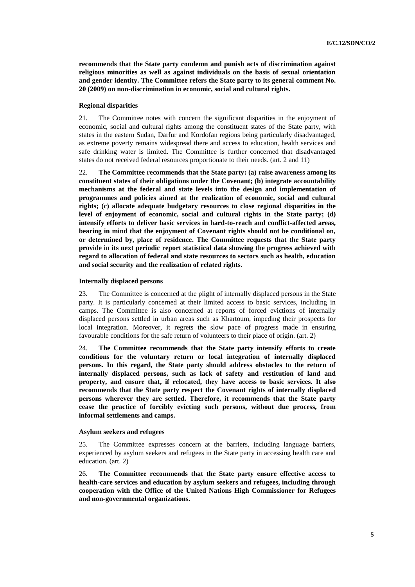**recommends that the State party condemn and punish acts of discrimination against religious minorities as well as against individuals on the basis of sexual orientation and gender identity. The Committee refers the State party to its general comment No. 20 (2009) on non-discrimination in economic, social and cultural rights.**

## **Regional disparities**

21. The Committee notes with concern the significant disparities in the enjoyment of economic, social and cultural rights among the constituent states of the State party, with states in the eastern Sudan, Darfur and Kordofan regions being particularly disadvantaged, as extreme poverty remains widespread there and access to education, health services and safe drinking water is limited. The Committee is further concerned that disadvantaged states do not received federal resources proportionate to their needs. (art. 2 and 11)

22. **The Committee recommends that the State party: (a) raise awareness among its constituent states of their obligations under the Covenant; (b) integrate accountability mechanisms at the federal and state levels into the design and implementation of programmes and policies aimed at the realization of economic, social and cultural rights; (c) allocate adequate budgetary resources to close regional disparities in the level of enjoyment of economic, social and cultural rights in the State party; (d) intensify efforts to deliver basic services in hard-to-reach and conflict-affected areas, bearing in mind that the enjoyment of Covenant rights should not be conditional on, or determined by, place of residence. The Committee requests that the State party provide in its next periodic report statistical data showing the progress achieved with regard to allocation of federal and state resources to sectors such as health, education and social security and the realization of related rights.**

#### **Internally displaced persons**

23. The Committee is concerned at the plight of internally displaced persons in the State party. It is particularly concerned at their limited access to basic services, including in camps. The Committee is also concerned at reports of forced evictions of internally displaced persons settled in urban areas such as Khartoum, impeding their prospects for local integration. Moreover, it regrets the slow pace of progress made in ensuring favourable conditions for the safe return of volunteers to their place of origin. (art. 2)

24. **The Committee recommends that the State party intensify efforts to create conditions for the voluntary return or local integration of internally displaced persons. In this regard, the State party should address obstacles to the return of internally displaced persons, such as lack of safety and restitution of land and property, and ensure that, if relocated, they have access to basic services. It also recommends that the State party respect the Covenant rights of internally displaced persons wherever they are settled. Therefore, it recommends that the State party cease the practice of forcibly evicting such persons, without due process, from informal settlements and camps.**

# **Asylum seekers and refugees**

25. The Committee expresses concern at the barriers, including language barriers, experienced by asylum seekers and refugees in the State party in accessing health care and education. (art. 2)

26. **The Committee recommends that the State party ensure effective access to health-care services and education by asylum seekers and refugees, including through cooperation with the Office of the United Nations High Commissioner for Refugees and non-governmental organizations.**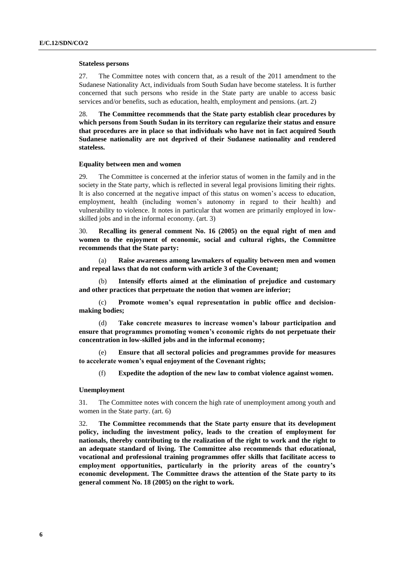#### **Stateless persons**

27. The Committee notes with concern that, as a result of the 2011 amendment to the Sudanese Nationality Act, individuals from South Sudan have become stateless. It is further concerned that such persons who reside in the State party are unable to access basic services and/or benefits, such as education, health, employment and pensions. (art. 2)

28. **The Committee recommends that the State party establish clear procedures by which persons from South Sudan in its territory can regularize their status and ensure that procedures are in place so that individuals who have not in fact acquired South Sudanese nationality are not deprived of their Sudanese nationality and rendered stateless.**

#### **Equality between men and women**

29. The Committee is concerned at the inferior status of women in the family and in the society in the State party, which is reflected in several legal provisions limiting their rights. It is also concerned at the negative impact of this status on women's access to education, employment, health (including women's autonomy in regard to their health) and vulnerability to violence. It notes in particular that women are primarily employed in lowskilled jobs and in the informal economy. (art. 3)

30. **Recalling its general comment No. 16 (2005) on the equal right of men and women to the enjoyment of economic, social and cultural rights, the Committee recommends that the State party:**

(a) **Raise awareness among lawmakers of equality between men and women and repeal laws that do not conform with article 3 of the Covenant;**

(b) **Intensify efforts aimed at the elimination of prejudice and customary and other practices that perpetuate the notion that women are inferior;**

(c) **Promote women's equal representation in public office and decisionmaking bodies;**

(d) **Take concrete measures to increase women's labour participation and ensure that programmes promoting women's economic rights do not perpetuate their concentration in low-skilled jobs and in the informal economy;**

(e) **Ensure that all sectoral policies and programmes provide for measures to accelerate women's equal enjoyment of the Covenant rights;**

(f) **Expedite the adoption of the new law to combat violence against women.**

### **Unemployment**

31. The Committee notes with concern the high rate of unemployment among youth and women in the State party. (art. 6)

32. **The Committee recommends that the State party ensure that its development policy, including the investment policy, leads to the creation of employment for nationals, thereby contributing to the realization of the right to work and the right to an adequate standard of living. The Committee also recommends that educational, vocational and professional training programmes offer skills that facilitate access to employment opportunities, particularly in the priority areas of the country's economic development. The Committee draws the attention of the State party to its general comment No. 18 (2005) on the right to work.**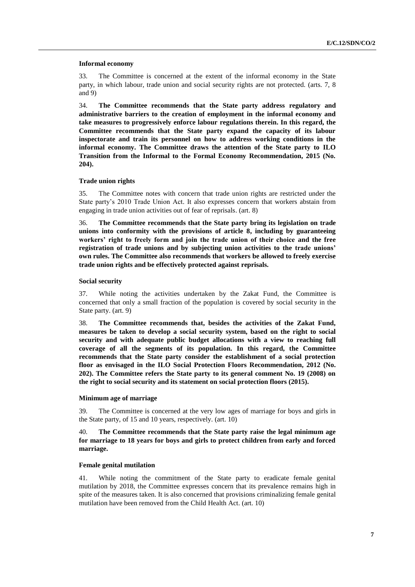## **Informal economy**

33. The Committee is concerned at the extent of the informal economy in the State party, in which labour, trade union and social security rights are not protected. (arts. 7, 8 and 9)

34. **The Committee recommends that the State party address regulatory and administrative barriers to the creation of employment in the informal economy and take measures to progressively enforce labour regulations therein. In this regard, the Committee recommends that the State party expand the capacity of its labour inspectorate and train its personnel on how to address working conditions in the informal economy. The Committee draws the attention of the State party to ILO Transition from the Informal to the Formal Economy Recommendation, 2015 (No. 204).**

# **Trade union rights**

35. The Committee notes with concern that trade union rights are restricted under the State party's 2010 Trade Union Act. It also expresses concern that workers abstain from engaging in trade union activities out of fear of reprisals. (art. 8)

36. **The Committee recommends that the State party bring its legislation on trade unions into conformity with the provisions of article 8, including by guaranteeing workers' right to freely form and join the trade union of their choice and the free registration of trade unions and by subjecting union activities to the trade unions' own rules. The Committee also recommends that workers be allowed to freely exercise trade union rights and be effectively protected against reprisals.**

#### **Social security**

37. While noting the activities undertaken by the Zakat Fund, the Committee is concerned that only a small fraction of the population is covered by social security in the State party. (art. 9)

38. **The Committee recommends that, besides the activities of the Zakat Fund, measures be taken to develop a social security system, based on the right to social security and with adequate public budget allocations with a view to reaching full coverage of all the segments of its population. In this regard, the Committee recommends that the State party consider the establishment of a social protection floor as envisaged in the ILO Social Protection Floors Recommendation, 2012 (No. 202). The Committee refers the State party to its general comment No. 19 (2008) on the right to social security and its statement on social protection floors (2015).**

#### **Minimum age of marriage**

39. The Committee is concerned at the very low ages of marriage for boys and girls in the State party, of 15 and 10 years, respectively. (art. 10)

# 40. **The Committee recommends that the State party raise the legal minimum age for marriage to 18 years for boys and girls to protect children from early and forced marriage.**

## **Female genital mutilation**

41. While noting the commitment of the State party to eradicate female genital mutilation by 2018, the Committee expresses concern that its prevalence remains high in spite of the measures taken. It is also concerned that provisions criminalizing female genital mutilation have been removed from the Child Health Act. (art. 10)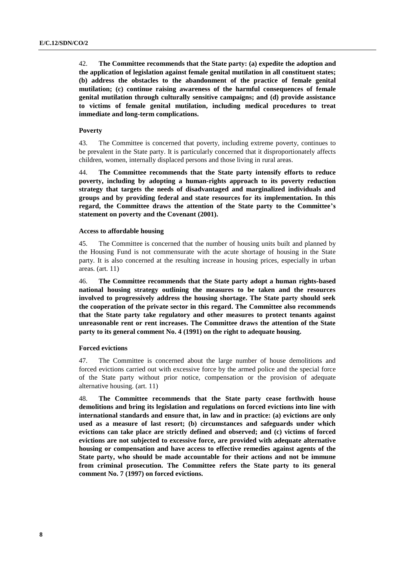42. **The Committee recommends that the State party: (a) expedite the adoption and the application of legislation against female genital mutilation in all constituent states; (b) address the obstacles to the abandonment of the practice of female genital mutilation; (c) continue raising awareness of the harmful consequences of female genital mutilation through culturally sensitive campaigns; and (d) provide assistance to victims of female genital mutilation, including medical procedures to treat immediate and long-term complications.**

# **Poverty**

43. The Committee is concerned that poverty, including extreme poverty, continues to be prevalent in the State party. It is particularly concerned that it disproportionately affects children, women, internally displaced persons and those living in rural areas.

44. **The Committee recommends that the State party intensify efforts to reduce poverty, including by adopting a human-rights approach to its poverty reduction strategy that targets the needs of disadvantaged and marginalized individuals and groups and by providing federal and state resources for its implementation. In this regard, the Committee draws the attention of the State party to the Committee's statement on poverty and the Covenant (2001).**

# **Access to affordable housing**

45. The Committee is concerned that the number of housing units built and planned by the Housing Fund is not commensurate with the acute shortage of housing in the State party. It is also concerned at the resulting increase in housing prices, especially in urban areas. (art. 11)

46. **The Committee recommends that the State party adopt a human rights-based national housing strategy outlining the measures to be taken and the resources involved to progressively address the housing shortage. The State party should seek the cooperation of the private sector in this regard. The Committee also recommends that the State party take regulatory and other measures to protect tenants against unreasonable rent or rent increases. The Committee draws the attention of the State party to its general comment No. 4 (1991) on the right to adequate housing.**

# **Forced evictions**

47. The Committee is concerned about the large number of house demolitions and forced evictions carried out with excessive force by the armed police and the special force of the State party without prior notice, compensation or the provision of adequate alternative housing. (art. 11)

48. **The Committee recommends that the State party cease forthwith house demolitions and bring its legislation and regulations on forced evictions into line with international standards and ensure that, in law and in practice: (a) evictions are only used as a measure of last resort; (b) circumstances and safeguards under which evictions can take place are strictly defined and observed; and (c) victims of forced evictions are not subjected to excessive force, are provided with adequate alternative housing or compensation and have access to effective remedies against agents of the State party, who should be made accountable for their actions and not be immune from criminal prosecution. The Committee refers the State party to its general comment No. 7 (1997) on forced evictions.**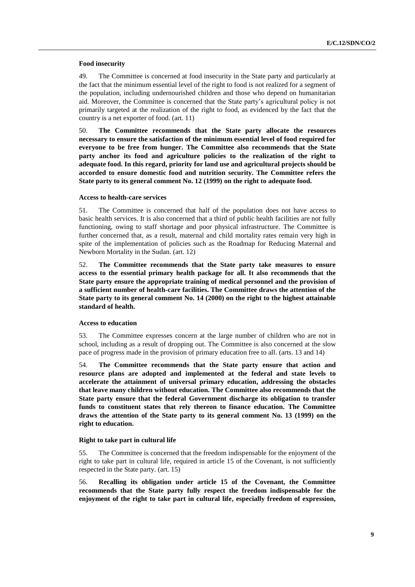# **Food insecurity**

49. The Committee is concerned at food insecurity in the State party and particularly at the fact that the minimum essential level of the right to food is not realized for a segment of the population, including undernourished children and those who depend on humanitarian aid. Moreover, the Committee is concerned that the State party's agricultural policy is not primarily targeted at the realization of the right to food, as evidenced by the fact that the country is a net exporter of food. (art. 11)

50. **The Committee recommends that the State party allocate the resources necessary to ensure the satisfaction of the minimum essential level of food required for everyone to be free from hunger. The Committee also recommends that the State party anchor its food and agriculture policies to the realization of the right to adequate food. In this regard, priority for land use and agricultural projects should be accorded to ensure domestic food and nutrition security. The Committee refers the State party to its general comment No. 12 (1999) on the right to adequate food.**

# **Access to health-care services**

51. The Committee is concerned that half of the population does not have access to basic health services. It is also concerned that a third of public health facilities are not fully functioning, owing to staff shortage and poor physical infrastructure. The Committee is further concerned that, as a result, maternal and child mortality rates remain very high in spite of the implementation of policies such as the Roadmap for Reducing Maternal and Newborn Mortality in the Sudan. (art. 12)

52. **The Committee recommends that the State party take measures to ensure access to the essential primary health package for all. It also recommends that the State party ensure the appropriate training of medical personnel and the provision of a sufficient number of health-care facilities. The Committee draws the attention of the State party to its general comment No. 14 (2000) on the right to the highest attainable standard of health.**

# **Access to education**

53. The Committee expresses concern at the large number of children who are not in school, including as a result of dropping out. The Committee is also concerned at the slow pace of progress made in the provision of primary education free to all. (arts. 13 and 14)

54. **The Committee recommends that the State party ensure that action and resource plans are adopted and implemented at the federal and state levels to accelerate the attainment of universal primary education, addressing the obstacles that leave many children without education. The Committee also recommends that the State party ensure that the federal Government discharge its obligation to transfer funds to constituent states that rely thereon to finance education. The Committee draws the attention of the State party to its general comment No. 13 (1999) on the right to education.**

# **Right to take part in cultural life**

55. The Committee is concerned that the freedom indispensable for the enjoyment of the right to take part in cultural life, required in article 15 of the Covenant, is not sufficiently respected in the State party. (art. 15)

56. **Recalling its obligation under article 15 of the Covenant, the Committee recommends that the State party fully respect the freedom indispensable for the enjoyment of the right to take part in cultural life, especially freedom of expression,**